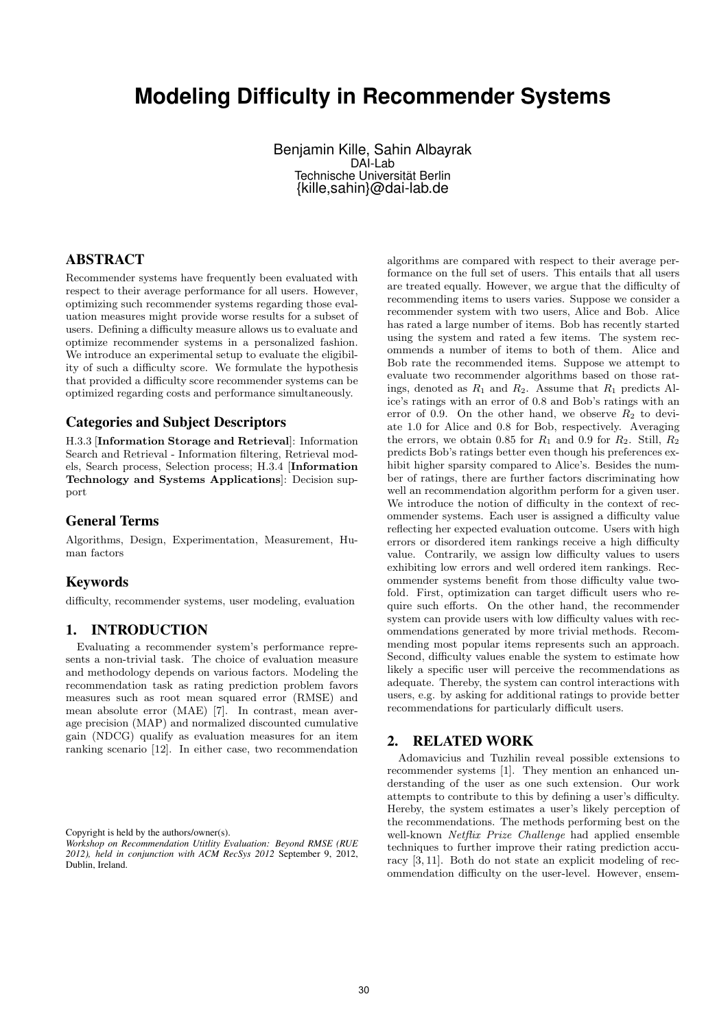# **Modeling Difficulty in Recommender Systems**

Benjamin Kille, Sahin Albayrak DAI-Lab Technische Universität Berlin {kille,sahin}@dai-lab.de

# ABSTRACT

Recommender systems have frequently been evaluated with respect to their average performance for all users. However, optimizing such recommender systems regarding those evaluation measures might provide worse results for a subset of users. Defining a difficulty measure allows us to evaluate and optimize recommender systems in a personalized fashion. We introduce an experimental setup to evaluate the eligibility of such a difficulty score. We formulate the hypothesis that provided a difficulty score recommender systems can be optimized regarding costs and performance simultaneously.

# Categories and Subject Descriptors

H.3.3 [Information Storage and Retrieval]: Information Search and Retrieval - Information filtering, Retrieval models, Search process, Selection process; H.3.4 [Information Technology and Systems Applications]: Decision support

## General Terms

Algorithms, Design, Experimentation, Measurement, Human factors

### Keywords

difficulty, recommender systems, user modeling, evaluation

# 1. INTRODUCTION

Evaluating a recommender system's performance represents a non-trivial task. The choice of evaluation measure and methodology depends on various factors. Modeling the recommendation task as rating prediction problem favors measures such as root mean squared error (RMSE) and mean absolute error (MAE) [7]. In contrast, mean average precision (MAP) and normalized discounted cumulative gain (NDCG) qualify as evaluation measures for an item ranking scenario [12]. In either case, two recommendation

Copyright is held by the authors/owner(s).

algorithms are compared with respect to their average performance on the full set of users. This entails that all users are treated equally. However, we argue that the difficulty of recommending items to users varies. Suppose we consider a recommender system with two users, Alice and Bob. Alice has rated a large number of items. Bob has recently started using the system and rated a few items. The system recommends a number of items to both of them. Alice and Bob rate the recommended items. Suppose we attempt to evaluate two recommender algorithms based on those ratings, denoted as  $R_1$  and  $R_2$ . Assume that  $R_1$  predicts Alice's ratings with an error of 0.8 and Bob's ratings with an error of 0.9. On the other hand, we observe  $R_2$  to deviate 1.0 for Alice and 0.8 for Bob, respectively. Averaging the errors, we obtain 0.85 for  $R_1$  and 0.9 for  $R_2$ . Still,  $R_2$ predicts Bob's ratings better even though his preferences exhibit higher sparsity compared to Alice's. Besides the number of ratings, there are further factors discriminating how well an recommendation algorithm perform for a given user. We introduce the notion of difficulty in the context of recommender systems. Each user is assigned a difficulty value reflecting her expected evaluation outcome. Users with high errors or disordered item rankings receive a high difficulty value. Contrarily, we assign low difficulty values to users exhibiting low errors and well ordered item rankings. Recommender systems benefit from those difficulty value twofold. First, optimization can target difficult users who require such efforts. On the other hand, the recommender system can provide users with low difficulty values with recommendations generated by more trivial methods. Recommending most popular items represents such an approach. Second, difficulty values enable the system to estimate how likely a specific user will perceive the recommendations as adequate. Thereby, the system can control interactions with users, e.g. by asking for additional ratings to provide better recommendations for particularly difficult users.

## 2. RELATED WORK

Adomavicius and Tuzhilin reveal possible extensions to recommender systems [1]. They mention an enhanced understanding of the user as one such extension. Our work attempts to contribute to this by defining a user's difficulty. Hereby, the system estimates a user's likely perception of the recommendations. The methods performing best on the well-known Netflix Prize Challenge had applied ensemble techniques to further improve their rating prediction accuracy [3, 11]. Both do not state an explicit modeling of recommendation difficulty on the user-level. However, ensem-

*Workshop on Recommendation Utitlity Evaluation: Beyond RMSE (RUE 2012), held in conjunction with ACM RecSys 2012* September 9, 2012, Dublin, Ireland.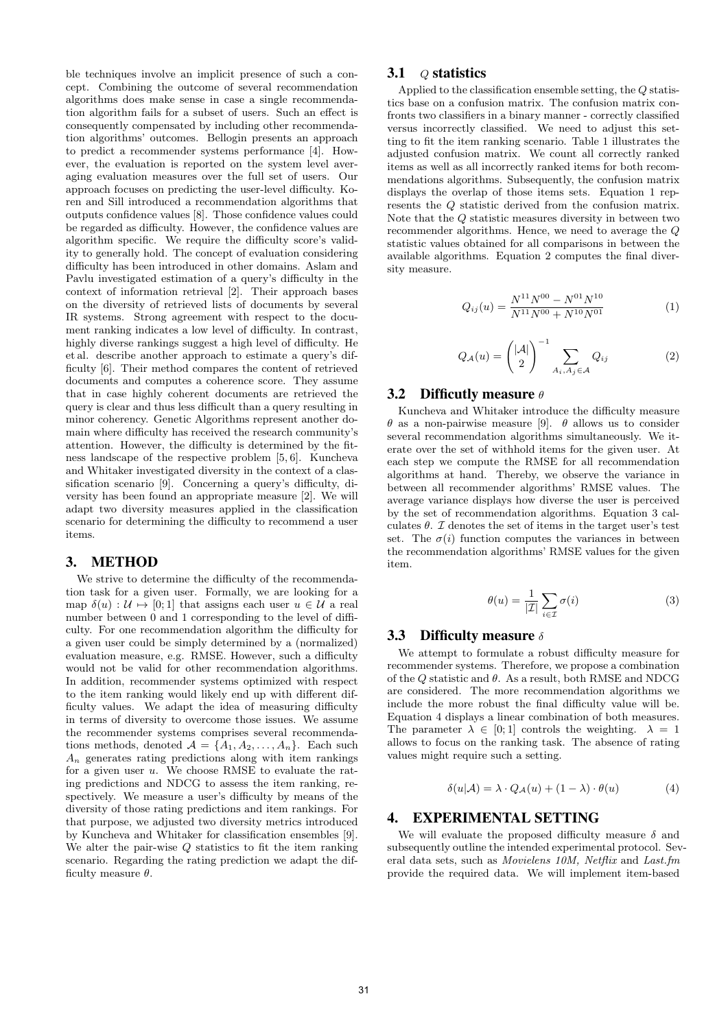ble techniques involve an implicit presence of such a concept. Combining the outcome of several recommendation algorithms does make sense in case a single recommendation algorithm fails for a subset of users. Such an effect is consequently compensated by including other recommendation algorithms' outcomes. Bellogin presents an approach to predict a recommender systems performance [4]. However, the evaluation is reported on the system level averaging evaluation measures over the full set of users. Our approach focuses on predicting the user-level difficulty. Koren and Sill introduced a recommendation algorithms that outputs confidence values [8]. Those confidence values could be regarded as difficulty. However, the confidence values are algorithm specific. We require the difficulty score's validity to generally hold. The concept of evaluation considering difficulty has been introduced in other domains. Aslam and Pavlu investigated estimation of a query's difficulty in the context of information retrieval [2]. Their approach bases on the diversity of retrieved lists of documents by several IR systems. Strong agreement with respect to the document ranking indicates a low level of difficulty. In contrast, highly diverse rankings suggest a high level of difficulty. He et al. describe another approach to estimate a query's difficulty [6]. Their method compares the content of retrieved documents and computes a coherence score. They assume that in case highly coherent documents are retrieved the query is clear and thus less difficult than a query resulting in minor coherency. Genetic Algorithms represent another domain where difficulty has received the research community's attention. However, the difficulty is determined by the fitness landscape of the respective problem [5, 6]. Kuncheva and Whitaker investigated diversity in the context of a classification scenario [9]. Concerning a query's difficulty, diversity has been found an appropriate measure [2]. We will adapt two diversity measures applied in the classification scenario for determining the difficulty to recommend a user items.

#### 3. METHOD

We strive to determine the difficulty of the recommendation task for a given user. Formally, we are looking for a map  $\delta(u) : \mathcal{U} \mapsto [0; 1]$  that assigns each user  $u \in \mathcal{U}$  a real number between 0 and 1 corresponding to the level of difficulty. For one recommendation algorithm the difficulty for a given user could be simply determined by a (normalized) evaluation measure, e.g. RMSE. However, such a difficulty would not be valid for other recommendation algorithms. In addition, recommender systems optimized with respect to the item ranking would likely end up with different difficulty values. We adapt the idea of measuring difficulty in terms of diversity to overcome those issues. We assume the recommender systems comprises several recommendations methods, denoted  $\mathcal{A} = \{A_1, A_2, \ldots, A_n\}$ . Each such  $A_n$  generates rating predictions along with item rankings for a given user u. We choose RMSE to evaluate the rating predictions and NDCG to assess the item ranking, respectively. We measure a user's difficulty by means of the diversity of those rating predictions and item rankings. For that purpose, we adjusted two diversity metrics introduced by Kuncheva and Whitaker for classification ensembles [9]. We alter the pair-wise  $Q$  statistics to fit the item ranking scenario. Regarding the rating prediction we adapt the difficulty measure  $\theta$ .

## 3.1  $Q$  statistics

Applied to the classification ensemble setting, the  $Q$  statistics base on a confusion matrix. The confusion matrix confronts two classifiers in a binary manner - correctly classified versus incorrectly classified. We need to adjust this setting to fit the item ranking scenario. Table 1 illustrates the adjusted confusion matrix. We count all correctly ranked items as well as all incorrectly ranked items for both recommendations algorithms. Subsequently, the confusion matrix displays the overlap of those items sets. Equation 1 represents the Q statistic derived from the confusion matrix. Note that the Q statistic measures diversity in between two recommender algorithms. Hence, we need to average the Q statistic values obtained for all comparisons in between the available algorithms. Equation 2 computes the final diversity measure.

$$
Q_{ij}(u) = \frac{N^{11}N^{00} - N^{01}N^{10}}{N^{11}N^{00} + N^{10}N^{01}}
$$
(1)

$$
Q_{\mathcal{A}}(u) = \left(\begin{array}{c} |\mathcal{A}| \\ 2 \end{array}\right)^{-1} \sum_{A_i, A_j \in \mathcal{A}} Q_{ij} \tag{2}
$$

#### 3.2 Difficutly measure  $\theta$

Kuncheva and Whitaker introduce the difficulty measure θ as a non-pairwise measure [9]. θ allows us to consider several recommendation algorithms simultaneously. We iterate over the set of withhold items for the given user. At each step we compute the RMSE for all recommendation algorithms at hand. Thereby, we observe the variance in between all recommender algorithms' RMSE values. The average variance displays how diverse the user is perceived by the set of recommendation algorithms. Equation 3 calculates  $\theta$ .  $\mathcal I$  denotes the set of items in the target user's test set. The  $\sigma(i)$  function computes the variances in between the recommendation algorithms' RMSE values for the given item.

$$
\theta(u) = \frac{1}{|\mathcal{I}|} \sum_{i \in \mathcal{I}} \sigma(i) \tag{3}
$$

#### 3.3 Difficulty measure  $\delta$

We attempt to formulate a robust difficulty measure for recommender systems. Therefore, we propose a combination of the Q statistic and  $\theta$ . As a result, both RMSE and NDCG are considered. The more recommendation algorithms we include the more robust the final difficulty value will be. Equation 4 displays a linear combination of both measures. The parameter  $\lambda \in [0;1]$  controls the weighting.  $\lambda = 1$ allows to focus on the ranking task. The absence of rating values might require such a setting.

$$
\delta(u|\mathcal{A}) = \lambda \cdot Q_{\mathcal{A}}(u) + (1 - \lambda) \cdot \theta(u) \tag{4}
$$

#### 4. EXPERIMENTAL SETTING

We will evaluate the proposed difficulty measure  $\delta$  and subsequently outline the intended experimental protocol. Several data sets, such as Movielens 10M, Netflix and Last.fm provide the required data. We will implement item-based